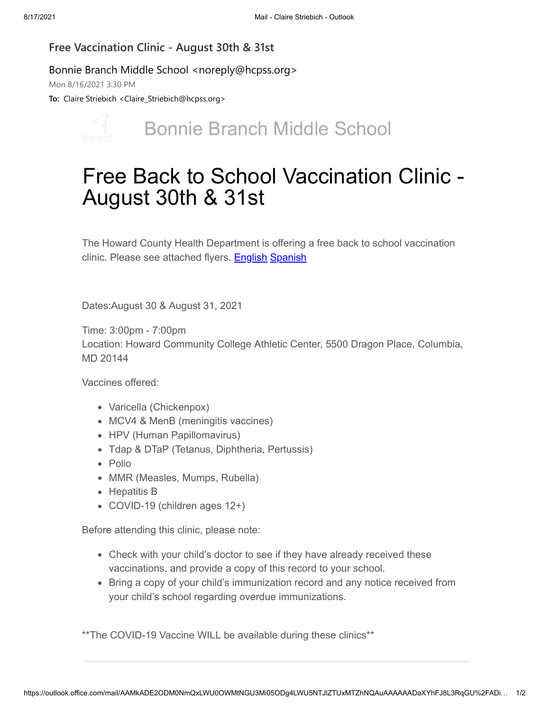## **Free Vaccination Clinic - August 30th & 31st**

## Bonnie Branch Middle School <noreply@hcpss.org>

Mon 8/16/2021 3:30 PM

**To:** Claire Striebich <Claire\_Striebich@hcpss.org>



## Bonnie Branch Middle School

## Free Back to School Vaccination Clinic - August 30th & 31st

The Howard County Health Department is offering a free back to school vaccination clinic. Please see attached flyers. [English](https://nam10.safelinks.protection.outlook.com/?url=http%3A%2F%2Ftrack.spe.schoolmessenger.com%2Ff%2Fa%2FzDNMDvCN3VYh5XD2atPzeA~~%2FAAAAAQA~%2FRgRi-_BJP0R1aHR0cHM6Ly9tc2cuc2Nob29sbWVzc2VuZ2VyLmNvbS9tLz9zPWxMT09fbW5NZUhNJm1hbD02MTRkMDY2MGNlNTY3N2U3OTA0NjhkY2UyYjIzNzJjYTg4ZWUxNTI1YWU3Mzg5MmZjYjg5OWQyZDExZmEwZTI3VwdzY2hvb2xtQgphGsm8GmFxDGgfUhpjbGFpcmVfc3RyaWViaWNoQGhjcHNzLm9yZ1gEAAAAAQ~~&data=04%7C01%7Cclaire_striebich%40hcpss.org%7C6229b0030bcd4395b17f08d960ec47a9%7C96a9ac4c477e4dada2b28ad3fc46790b%7C1%7C0%7C637647390194315784%7CUnknown%7CTWFpbGZsb3d8eyJWIjoiMC4wLjAwMDAiLCJQIjoiV2luMzIiLCJBTiI6Ik1haWwiLCJXVCI6Mn0%3D%7C1000&sdata=xcGZzAA0R6IK2YffF%2FLbrK1E1wE9nmT7no%2FTjGc0cY8%3D&reserved=0) [Spanish](https://nam10.safelinks.protection.outlook.com/?url=http%3A%2F%2Ftrack.spe.schoolmessenger.com%2Ff%2Fa%2F9m1BetwzE2dJXY-LdpLU2g~~%2FAAAAAQA~%2FRgRi-_BJP0R1aHR0cHM6Ly9tc2cuc2Nob29sbWVzc2VuZ2VyLmNvbS9tLz9zPWxMT09fbW5NZUhNJm1hbD1mNTNmYzA4N2E3NDJhZTViYmRkOWVhOGYzMjI1N2ZkNjYzYWQxODYzMDk0MzNjNmI1NmRiMzkzZTgwMWI4MjhlVwdzY2hvb2xtQgphGsm8GmFxDGgfUhpjbGFpcmVfc3RyaWViaWNoQGhjcHNzLm9yZ1gEAAAAAQ~~&data=04%7C01%7Cclaire_striebich%40hcpss.org%7C6229b0030bcd4395b17f08d960ec47a9%7C96a9ac4c477e4dada2b28ad3fc46790b%7C1%7C0%7C637647390194325782%7CUnknown%7CTWFpbGZsb3d8eyJWIjoiMC4wLjAwMDAiLCJQIjoiV2luMzIiLCJBTiI6Ik1haWwiLCJXVCI6Mn0%3D%7C1000&sdata=DPKYWeukR%2B0KJv%2FM6hw0mnNlnwSC1E88tDUfNFDJ0cI%3D&reserved=0)

Dates:August 30 & August 31, 2021

Time: 3:00pm - 7:00pm Location: Howard Community College Athletic Center, 5500 Dragon Place, Columbia, MD 20144

Vaccines offered:

- Varicella (Chickenpox)
- MCV4 & MenB (meningitis vaccines)
- HPV (Human Papillomavirus)
- Tdap & DTaP (Tetanus, Diphtheria, Pertussis)
- Polio
- MMR (Measles, Mumps, Rubella)
- Hepatitis B
- COVID-19 (children ages 12+)

Before attending this clinic, please note:

- Check with your child's doctor to see if they have already received these vaccinations, and provide a copy of this record to your school.
- Bring a copy of your child's immunization record and any notice received from your child's school regarding overdue immunizations.

\*\*The COVID-19 Vaccine WILL be available during these clinics\*\*